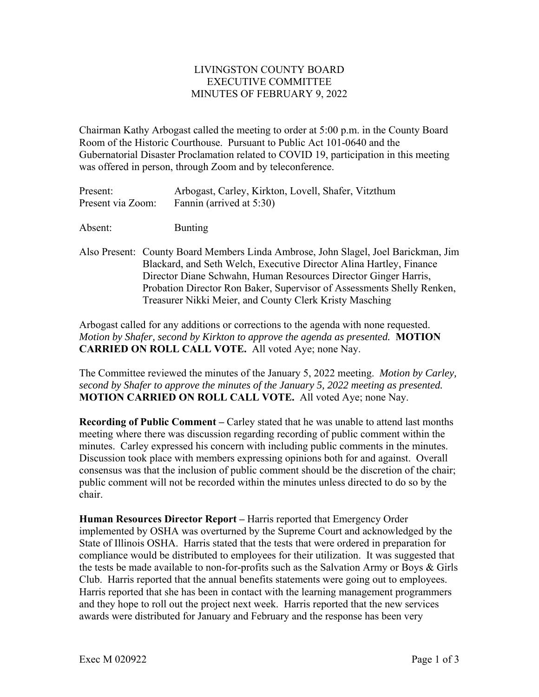## LIVINGSTON COUNTY BOARD EXECUTIVE COMMITTEE MINUTES OF FEBRUARY 9, 2022

Chairman Kathy Arbogast called the meeting to order at 5:00 p.m. in the County Board Room of the Historic Courthouse. Pursuant to Public Act 101-0640 and the Gubernatorial Disaster Proclamation related to COVID 19, participation in this meeting was offered in person, through Zoom and by teleconference.

| Present:          | Arbogast, Carley, Kirkton, Lovell, Shafer, Vitzthum |
|-------------------|-----------------------------------------------------|
| Present via Zoom: | Fannin (arrived at 5:30)                            |

Absent: Bunting

Also Present: County Board Members Linda Ambrose, John Slagel, Joel Barickman, Jim Blackard, and Seth Welch, Executive Director Alina Hartley, Finance Director Diane Schwahn, Human Resources Director Ginger Harris, Probation Director Ron Baker, Supervisor of Assessments Shelly Renken, Treasurer Nikki Meier, and County Clerk Kristy Masching

Arbogast called for any additions or corrections to the agenda with none requested. *Motion by Shafer, second by Kirkton to approve the agenda as presented.* **MOTION CARRIED ON ROLL CALL VOTE.** All voted Aye; none Nay.

The Committee reviewed the minutes of the January 5, 2022 meeting. *Motion by Carley, second by Shafer to approve the minutes of the January 5, 2022 meeting as presented.*  **MOTION CARRIED ON ROLL CALL VOTE.** All voted Aye; none Nay.

**Recording of Public Comment – Carley stated that he was unable to attend last months** meeting where there was discussion regarding recording of public comment within the minutes. Carley expressed his concern with including public comments in the minutes. Discussion took place with members expressing opinions both for and against. Overall consensus was that the inclusion of public comment should be the discretion of the chair; public comment will not be recorded within the minutes unless directed to do so by the chair.

**Human Resources Director Report –** Harris reported that Emergency Order implemented by OSHA was overturned by the Supreme Court and acknowledged by the State of Illinois OSHA. Harris stated that the tests that were ordered in preparation for compliance would be distributed to employees for their utilization. It was suggested that the tests be made available to non-for-profits such as the Salvation Army or Boys & Girls Club. Harris reported that the annual benefits statements were going out to employees. Harris reported that she has been in contact with the learning management programmers and they hope to roll out the project next week. Harris reported that the new services awards were distributed for January and February and the response has been very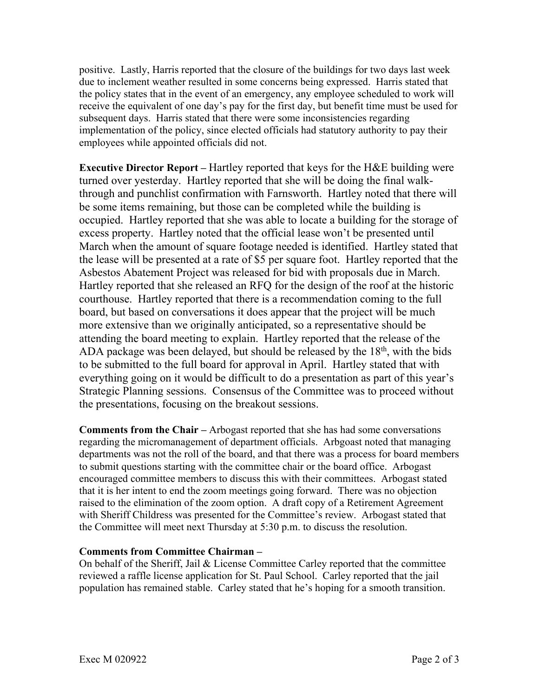positive. Lastly, Harris reported that the closure of the buildings for two days last week due to inclement weather resulted in some concerns being expressed. Harris stated that the policy states that in the event of an emergency, any employee scheduled to work will receive the equivalent of one day's pay for the first day, but benefit time must be used for subsequent days. Harris stated that there were some inconsistencies regarding implementation of the policy, since elected officials had statutory authority to pay their employees while appointed officials did not.

**Executive Director Report –** Hartley reported that keys for the H&E building were turned over yesterday. Hartley reported that she will be doing the final walkthrough and punchlist confirmation with Farnsworth. Hartley noted that there will be some items remaining, but those can be completed while the building is occupied. Hartley reported that she was able to locate a building for the storage of excess property. Hartley noted that the official lease won't be presented until March when the amount of square footage needed is identified. Hartley stated that the lease will be presented at a rate of \$5 per square foot. Hartley reported that the Asbestos Abatement Project was released for bid with proposals due in March. Hartley reported that she released an RFQ for the design of the roof at the historic courthouse. Hartley reported that there is a recommendation coming to the full board, but based on conversations it does appear that the project will be much more extensive than we originally anticipated, so a representative should be attending the board meeting to explain. Hartley reported that the release of the ADA package was been delayed, but should be released by the  $18<sup>th</sup>$ , with the bids to be submitted to the full board for approval in April. Hartley stated that with everything going on it would be difficult to do a presentation as part of this year's Strategic Planning sessions. Consensus of the Committee was to proceed without the presentations, focusing on the breakout sessions.

**Comments from the Chair –** Arbogast reported that she has had some conversations regarding the micromanagement of department officials. Arbgoast noted that managing departments was not the roll of the board, and that there was a process for board members to submit questions starting with the committee chair or the board office. Arbogast encouraged committee members to discuss this with their committees. Arbogast stated that it is her intent to end the zoom meetings going forward. There was no objection raised to the elimination of the zoom option. A draft copy of a Retirement Agreement with Sheriff Childress was presented for the Committee's review. Arbogast stated that the Committee will meet next Thursday at 5:30 p.m. to discuss the resolution.

## **Comments from Committee Chairman –**

On behalf of the Sheriff, Jail & License Committee Carley reported that the committee reviewed a raffle license application for St. Paul School. Carley reported that the jail population has remained stable. Carley stated that he's hoping for a smooth transition.